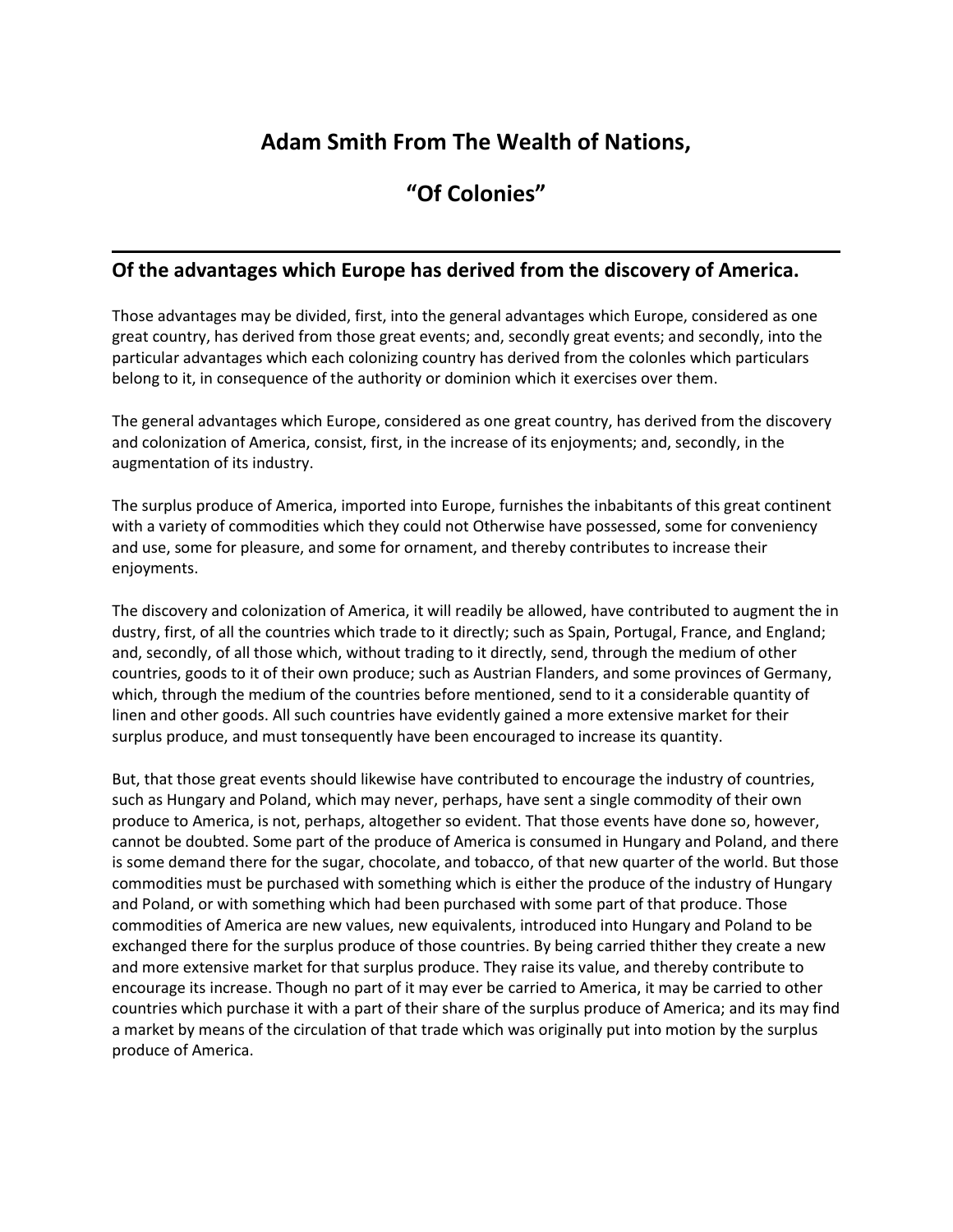## **Adam Smith From The Wealth of Nations,**

## **"Of Colonies"**

## **Of the advantages which Europe has derived from the discovery of America.**

Those advantages may be divided, first, into the general advantages which Europe, considered as one great country, has derived from those great events; and, secondly great events; and secondly, into the particular advantages which each colonizing country has derived from the colonles which particulars belong to it, in consequence of the authority or dominion which it exercises over them.

The general advantages which Europe, considered as one great country, has derived from the discovery and colonization of America, consist, first, in the increase of its enjoyments; and, secondly, in the augmentation of its industry.

The surplus produce of America, imported into Europe, furnishes the inbabitants of this great continent with a variety of commodities which they could not Otherwise have possessed, some for conveniency and use, some for pleasure, and some for ornament, and thereby contributes to increase their enjoyments.

The discovery and colonization of America, it will readily be allowed, have contributed to augment the in dustry, first, of all the countries which trade to it directly; such as Spain, Portugal, France, and England; and, secondly, of all those which, without trading to it directly, send, through the medium of other countries, goods to it of their own produce; such as Austrian Flanders, and some provinces of Germany, which, through the medium of the countries before mentioned, send to it a considerable quantity of linen and other goods. All such countries have evidently gained a more extensive market for their surplus produce, and must tonsequently have been encouraged to increase its quantity.

But, that those great events should likewise have contributed to encourage the industry of countries, such as Hungary and Poland, which may never, perhaps, have sent a single commodity of their own produce to America, is not, perhaps, altogether so evident. That those events have done so, however, cannot be doubted. Some part of the produce of America is consumed in Hungary and Poland, and there is some demand there for the sugar, chocolate, and tobacco, of that new quarter of the world. But those commodities must be purchased with something which is either the produce of the industry of Hungary and Poland, or with something which had been purchased with some part of that produce. Those commodities of America are new values, new equivalents, introduced into Hungary and Poland to be exchanged there for the surplus produce of those countries. By being carried thither they create a new and more extensive market for that surplus produce. They raise its value, and thereby contribute to encourage its increase. Though no part of it may ever be carried to America, it may be carried to other countries which purchase it with a part of their share of the surplus produce of America; and its may find a market by means of the circulation of that trade which was originally put into motion by the surplus produce of America.